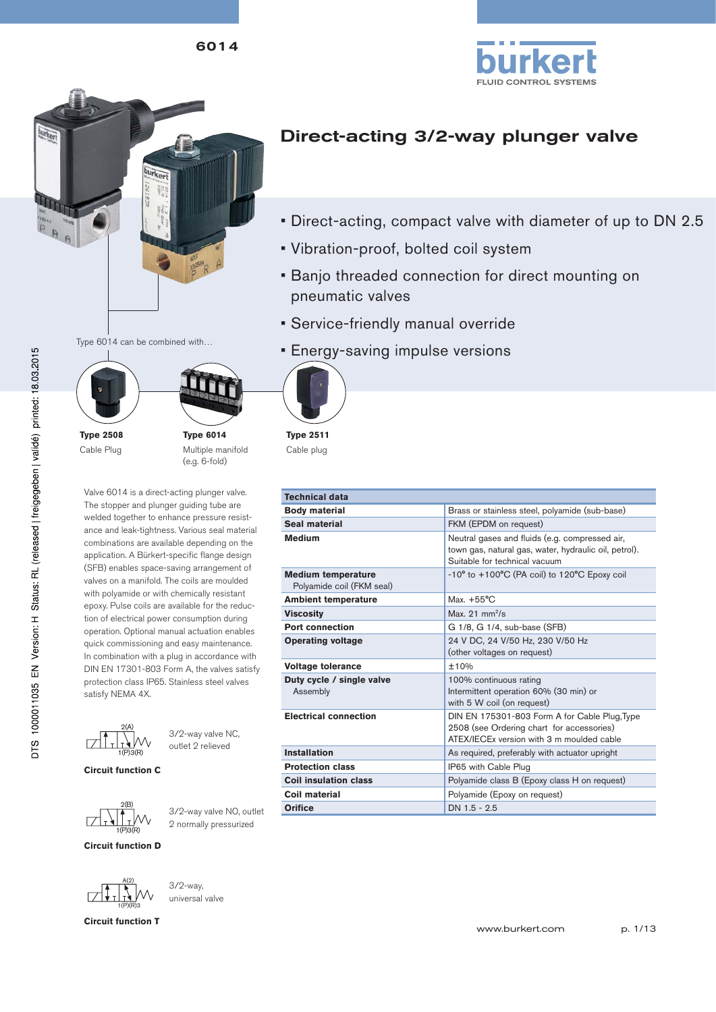

Type 6014 can be combined with…

# Direct-acting 3/2-way plunger valve

• Direct-acting, compact valve with diameter of up to DN 2.5

**FLUID CONTROL SYSTEMS** 

- Vibration-proof, bolted coil system
- Banjo threaded connection for direct mounting on pneumatic valves
- Service-friendly manual override
- Energy-saving impulse versions



**Type 6014** Multiple manifold (e.g. 6-fold)

Valve 6014 is a direct-acting plunger valve. The stopper and plunger guiding tube are welded together to enhance pressure resistance and leak-tightness. Various seal material combinations are available depending on the application. A Bürkert-specific flange design (SFB) enables space-saving arrangement of valves on a manifold. The coils are moulded with polyamide or with chemically resistant epoxy. Pulse coils are available for the reduction of electrical power consumption during operation. Optional manual actuation enables quick commissioning and easy maintenance. In combination with a plug in accordance with DIN EN 17301-803 Form A, the valves satisfy protection class IP65. Stainless steel valves satisfy NEMA 4X.



**Type 2508** Cable Plug

> 3/2-way valve NC, outlet 2 relieved

**Circuit function C**



3/2-way valve NO, outlet 2 normally pressurized

**Circuit function D**



3/2-way, universal valve

**Circuit function T**



**Type 2511** Cable plug

| <b>Technical data</b>                                  |                                                                                                                                          |
|--------------------------------------------------------|------------------------------------------------------------------------------------------------------------------------------------------|
| <b>Body material</b>                                   | Brass or stainless steel, polyamide (sub-base)                                                                                           |
| Seal material                                          | FKM (EPDM on request)                                                                                                                    |
| <b>Medium</b>                                          | Neutral gases and fluids (e.g. compressed air,<br>town gas, natural gas, water, hydraulic oil, petrol).<br>Suitable for technical vacuum |
| <b>Medium temperature</b><br>Polyamide coil (FKM seal) | $-10^{\circ}$ to $+100^{\circ}$ C (PA coil) to 120 $^{\circ}$ C Epoxy coil                                                               |
| <b>Ambient temperature</b>                             | Max. $+55^{\circ}$ C                                                                                                                     |
| <b>Viscosity</b>                                       | Max. $21 \text{ mm}^2/\text{s}$                                                                                                          |
| <b>Port connection</b>                                 | G 1/8, G 1/4, sub-base (SFB)                                                                                                             |
| <b>Operating voltage</b>                               | 24 V DC, 24 V/50 Hz, 230 V/50 Hz<br>(other voltages on request)                                                                          |
| <b>Voltage tolerance</b>                               | $+10%$                                                                                                                                   |
| Duty cycle / single valve<br>Assembly                  | 100% continuous rating<br>Intermittent operation 60% (30 min) or<br>with 5 W coil (on request)                                           |
| <b>Electrical connection</b>                           | DIN EN 175301-803 Form A for Cable Plug, Type<br>2508 (see Ordering chart for accessories)<br>ATEX/IECEx version with 3 m moulded cable  |
| <b>Installation</b>                                    | As required, preferably with actuator upright                                                                                            |
| <b>Protection class</b>                                | IP65 with Cable Plug                                                                                                                     |
| <b>Coil insulation class</b>                           | Polyamide class B (Epoxy class H on request)                                                                                             |
| Coil material                                          | Polyamide (Epoxy on request)                                                                                                             |
| <b>Orifice</b>                                         | $DN$ 1.5 - 2.5                                                                                                                           |
|                                                        |                                                                                                                                          |

www.burkert.com p. 1/13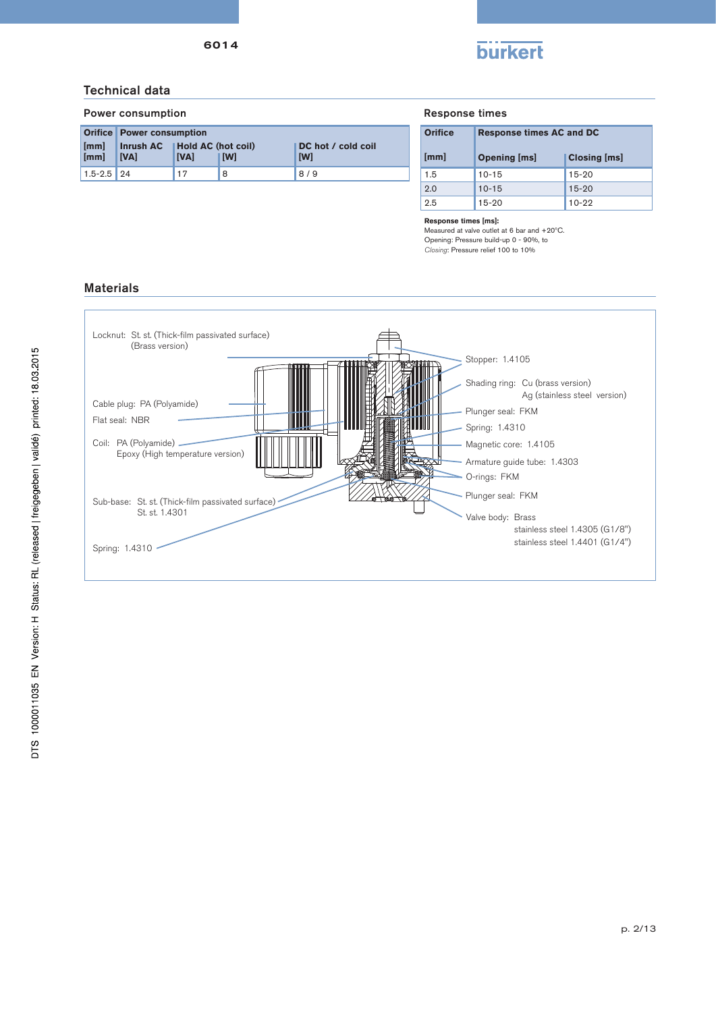

#### Technical data

#### Power consumption and the constant of the Response times

|                | <b>Orifice Power consumption</b> |                                                             |   |                                  |  |  |  |
|----------------|----------------------------------|-------------------------------------------------------------|---|----------------------------------|--|--|--|
| [mm]<br>[mm]   | <b>IVAI</b>                      | Inrush AC   Hold AC (hot coil)<br><b>IVAI</b><br><b>IWI</b> |   | DC hot / cold coil<br><b>IWI</b> |  |  |  |
| $1.5 - 2.5$ 24 |                                  | 17                                                          | 8 | 8/9                              |  |  |  |

| Orifice | <b>Response times AC and DC</b> |              |  |  |  |
|---------|---------------------------------|--------------|--|--|--|
| [mm]    | <b>Opening [ms]</b>             | Closing [ms] |  |  |  |
| 1.5     | $10 - 15$                       | $15 - 20$    |  |  |  |
| 2.0     | $10 - 15$                       | $15 - 20$    |  |  |  |
| 2.5     | $15 - 20$                       | $10-22$      |  |  |  |

#### **Response times [ms]:**

Measured at valve outlet at 6 bar and +20ºC. Opening: Pressure build-up 0 - 90%, to Closing: Pressure relief 100 to 10%

# **Materials**

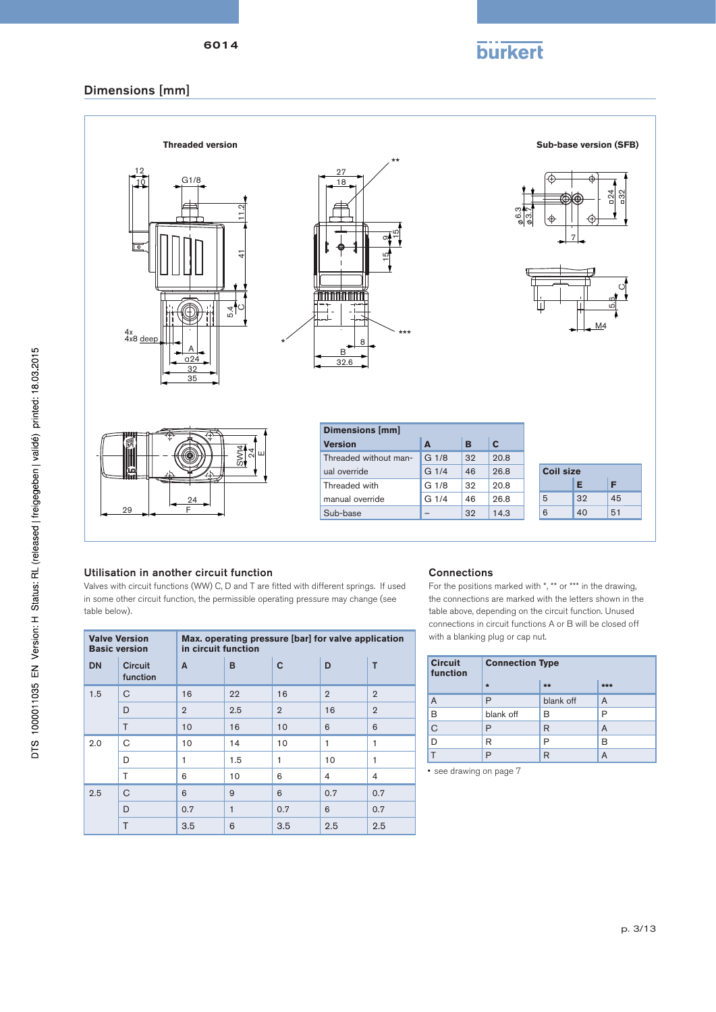

# Dimensions [mm]

6014



# Utilisation in another circuit function

Valves with circuit functions (WW) C, D and T are fitted with different springs. If used in some other circuit function, the permissible operating pressure may change (see table below).

#### **Connections**

For the positions marked with \*, \*\* or \*\*\* in the drawing, the connections are marked with the letters shown in the table above, depending on the circuit function. Unused connections in circuit functions A or B will be closed off with a blanking plug or cap nut.

| <b>Circuit</b><br>function | <b>Connection Type</b> |           |     |  |  |
|----------------------------|------------------------|-----------|-----|--|--|
|                            | $\star$                | $**$      | *** |  |  |
| A                          | P                      | blank off | A   |  |  |
| B                          | blank off              | В         | P   |  |  |
| $\overline{C}$             | Ρ                      | R         | A   |  |  |
| D                          | R                      | P         | B   |  |  |
|                            | P                      | R         | A   |  |  |

• see drawing on page 7

DTS 1000011035 EN Version: H Status: RL (released | freigegeben | validé) printed: 18.03.2015

| <b>Valve Version</b><br><b>Basic version</b> |                            | Max. operating pressure [bar] for valve application<br>in circuit function |     |                |                |                |  |  |
|----------------------------------------------|----------------------------|----------------------------------------------------------------------------|-----|----------------|----------------|----------------|--|--|
| <b>DN</b>                                    | <b>Circuit</b><br>function | A                                                                          | B   | C              | D              | т              |  |  |
| 1.5                                          | C                          | 16                                                                         | 22  | 16             | $\overline{2}$ | $\overline{2}$ |  |  |
|                                              | D                          | $\overline{2}$                                                             | 2.5 | $\overline{2}$ | 16             | $\overline{2}$ |  |  |
|                                              | T                          | 10                                                                         | 16  | 10             | 6              | 6              |  |  |
| 2.0                                          | C                          | 10                                                                         | 14  | 10             | 1              | 1              |  |  |
|                                              | D                          | 1                                                                          | 1.5 | 1              | 10             | 1              |  |  |
|                                              | T                          | 6                                                                          | 10  | 6              | 4              | $\overline{4}$ |  |  |
| 2.5                                          | $\mathcal{C}$              | 6                                                                          | 9   | 6              | 0.7            | 0.7            |  |  |
|                                              | D                          | 0.7                                                                        | 1   | 0.7            | 6              | 0.7            |  |  |
|                                              | T                          | 3.5                                                                        | 6   | 3.5            | 2.5            | 2.5            |  |  |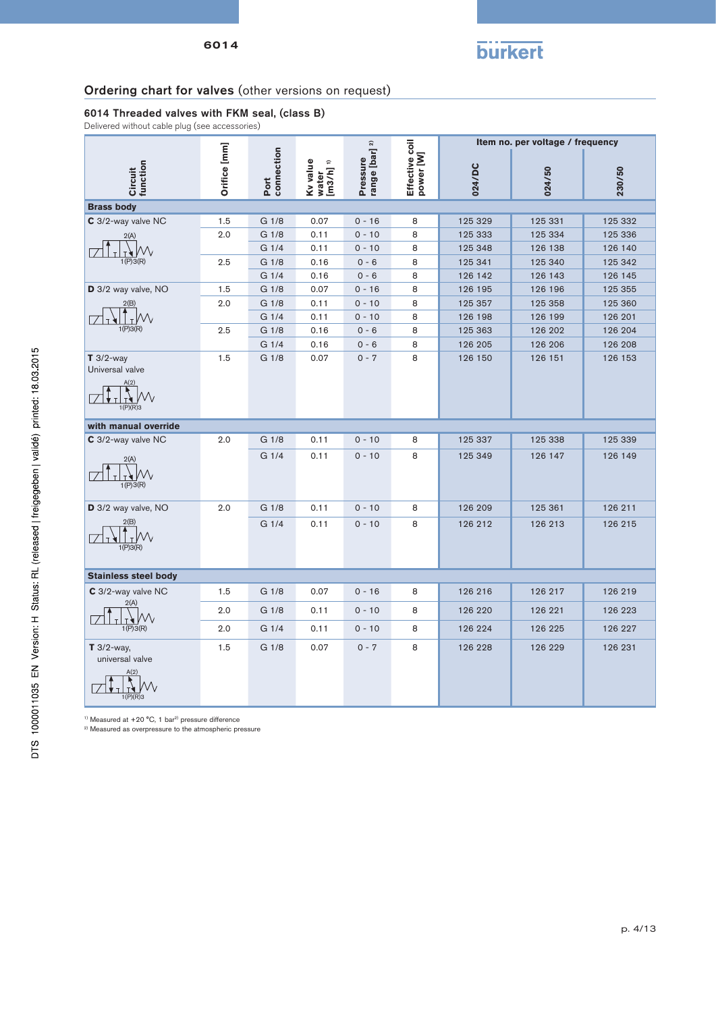

# Ordering chart for valves (other versions on request)

# 6014 Threaded valves with FKM seal, (class B)

Delivered without cable plug (see accessories)

|                                        |              |                    |                                           |                                       |                |         | Item no. per voltage / frequency |         |  |  |
|----------------------------------------|--------------|--------------------|-------------------------------------------|---------------------------------------|----------------|---------|----------------------------------|---------|--|--|
| Circuit<br>function                    | Orifice [mm] | connection<br>Port | Kv value<br>water<br>[m3/h] <sup>1)</sup> | Pressure<br>range [bar] <sup>2)</sup> | Effective coil | 024/DC  | 024/50                           | 230/50  |  |  |
| <b>Brass body</b>                      |              |                    |                                           |                                       |                |         |                                  |         |  |  |
| C 3/2-way valve NC                     | 1.5          | G 1/8              | 0.07                                      | $0 - 16$                              | 8              | 125 329 | 125 331                          | 125 332 |  |  |
| 2(A)                                   | 2.0          | G 1/8              | 0.11                                      | $0 - 10$                              | 8              | 125 333 | 125 334                          | 125 336 |  |  |
|                                        |              | G 1/4              | 0.11                                      | $0 - 10$                              | 8              | 125 348 | 126 138                          | 126 140 |  |  |
| 1(P)3(R)                               | 2.5          | G 1/8              | 0.16                                      | $0 - 6$                               | 8              | 125 341 | 125 340                          | 125 342 |  |  |
|                                        |              | G 1/4              | 0.16                                      | $0 - 6$                               | 8              | 126 142 | 126 143                          | 126 145 |  |  |
| D 3/2 way valve, NO                    | 1.5          | G 1/8              | 0.07                                      | $0 - 16$                              | 8              | 126 195 | 126 196                          | 125 355 |  |  |
| 2(B)                                   | 2.0          | G 1/8              | 0.11                                      | $0 - 10$                              | 8              | 125 357 | 125 358                          | 125 360 |  |  |
|                                        |              | G 1/4              | 0.11                                      | $0 - 10$                              | 8              | 126 198 | 126 199                          | 126 201 |  |  |
| 1(P)3(R                                | 2.5          | G 1/8              | 0.16                                      | $0 - 6$                               | 8              | 125 363 | 126 202                          | 126 204 |  |  |
|                                        |              | G 1/4              | 0.16                                      | $0 - 6$                               | 8              | 126 205 | 126 206                          | 126 208 |  |  |
| $T$ 3/2-way<br>Universal valve<br>A(2) | 1.5          | G 1/8              | 0.07                                      | $0 - 7$                               | 8              | 126 150 | 126 151                          | 126 153 |  |  |
| 1(P)(R)3                               |              |                    |                                           |                                       |                |         |                                  |         |  |  |
| with manual override                   |              |                    |                                           |                                       |                |         |                                  |         |  |  |
| C 3/2-way valve NC                     | 2.0          | G 1/8              | 0.11                                      | $0 - 10$                              | 8              | 125 337 | 125 338                          | 125 339 |  |  |
| 1(P)3(R)                               |              | G 1/4              | 0.11                                      | $0 - 10$                              | 8              | 125 349 | 126 147                          | 126 149 |  |  |
| D 3/2 way valve, NO                    | 2.0          | G 1/8              | 0.11                                      | $0 - 10$                              | 8              | 126 209 | 125 361                          | 126 211 |  |  |
| 1(P)3(R)                               |              | G 1/4              | 0.11                                      | $0 - 10$                              | 8              | 126 212 | 126 213                          | 126 215 |  |  |
| <b>Stainless steel body</b>            |              |                    |                                           |                                       |                |         |                                  |         |  |  |
| C 3/2-way valve NC<br>2(A)             | 1.5          | G 1/8              | 0.07                                      | $0 - 16$                              | 8              | 126 216 | 126 217                          | 126 219 |  |  |
|                                        | 2.0          | G 1/8              | 0.11                                      | $0 - 10$                              | 8              | 126 220 | 126 221                          | 126 223 |  |  |
| 1(P)3(R)                               | 2.0          | G 1/4              | 0.11                                      | $0 - 10$                              | 8              | 126 224 | 126 225                          | 126 227 |  |  |
| $T$ 3/2-way,<br>universal valve        | 1.5          | G 1/8              | 0.07                                      | $0 - 7$                               | 8              | 126 228 | 126 229                          | 126 231 |  |  |
| A(2)<br>1(P)(R)3                       |              |                    |                                           |                                       |                |         |                                  |         |  |  |

<sup>1)</sup> Measured at  $+20$  °C, 1 bar<sup>2)</sup> pressure difference

<sup>2)</sup> Measured as overpressure to the atmospheric pressure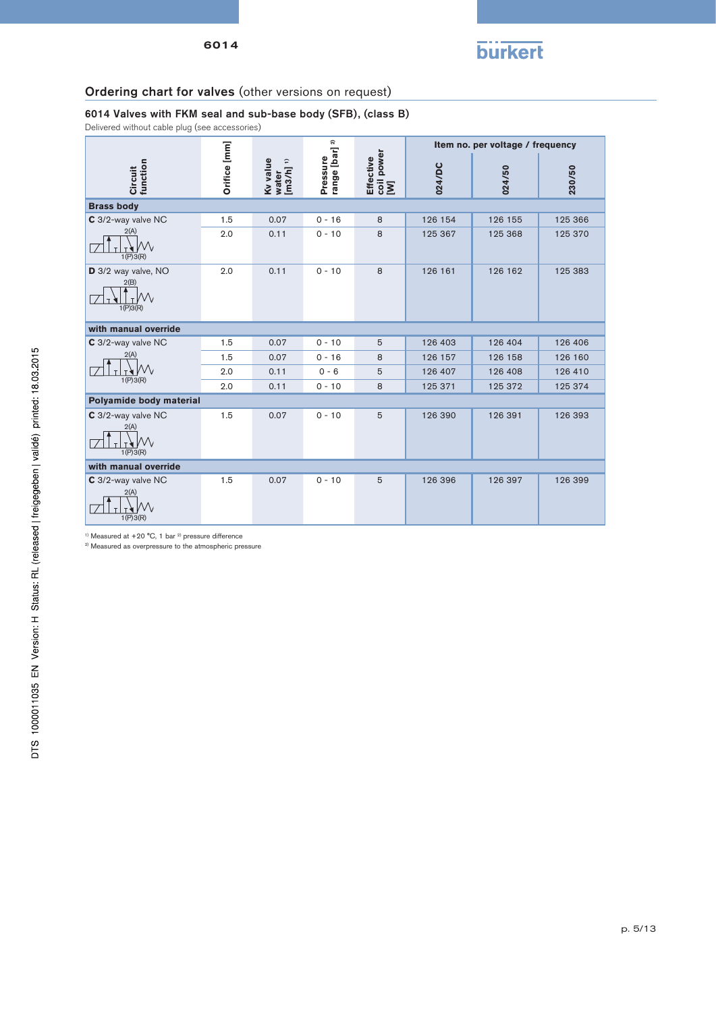

#### Ordering chart for valves (other versions on request)

#### 6014 Valves with FKM seal and sub-base body (SFB), (class B)

Delivered without cable plug (see accessories)

|                                              |              |                                           | จ        |                                |         | Item no. per voltage / frequency |         |  |  |  |
|----------------------------------------------|--------------|-------------------------------------------|----------|--------------------------------|---------|----------------------------------|---------|--|--|--|
| function<br>Circuit                          | Orifice [mm] | Ky value<br>water<br>[m3/h] <sup>1)</sup> |          | Effective<br>coil power<br>[W] | 024/DC  | 024/50                           | 230/50  |  |  |  |
| <b>Brass body</b>                            |              |                                           |          |                                |         |                                  |         |  |  |  |
| C 3/2-way valve NC                           | 1.5          | 0.07                                      | $0 - 16$ | 8                              | 126 154 | 126 155                          | 125 366 |  |  |  |
| 2(A)<br>W<br>1(P)3(R)                        | 2.0          | 0.11                                      | $0 - 10$ | 8                              | 125 367 | 125 368                          | 125 370 |  |  |  |
| D 3/2 way valve, NO<br>2(B)<br>1(P)3(R)      | 2.0          | 0.11                                      | $0 - 10$ | 8                              | 126 161 | 126 162                          | 125 383 |  |  |  |
| with manual override                         |              |                                           |          |                                |         |                                  |         |  |  |  |
| C 3/2-way valve NC                           | 1.5          | 0.07                                      | $0 - 10$ | 5                              | 126 403 | 126 404                          | 126 406 |  |  |  |
| 2(A)                                         | 1.5          | 0.07                                      | $0 - 16$ | 8                              | 126 157 | 126 158                          | 126 160 |  |  |  |
|                                              | 2.0          | 0.11                                      | $0 - 6$  | 5                              | 126 407 | 126 408                          | 126 410 |  |  |  |
| 1(P)3(R)                                     | 2.0          | 0.11                                      | $0 - 10$ | 8                              | 125 371 | 125 372                          | 125 374 |  |  |  |
| Polyamide body material                      |              |                                           |          |                                |         |                                  |         |  |  |  |
| C 3/2-way valve NC<br>2(A)<br>Мv<br>1(P)3(R) | 1.5          | 0.07                                      | $0 - 10$ | 5                              | 126 390 | 126 391                          | 126 393 |  |  |  |
| with manual override                         |              |                                           |          |                                |         |                                  |         |  |  |  |
| C 3/2-way valve NC<br>2(A)<br>1(P)3(R)       | 1.5          | 0.07                                      | $0 - 10$ | 5                              | 126 396 | 126 397                          | 126 399 |  |  |  |

<sup>1)</sup> Measured at  $+20$  °C, 1 bar <sup>2)</sup> pressure difference

2) Measured as overpressure to the atmospheric pressure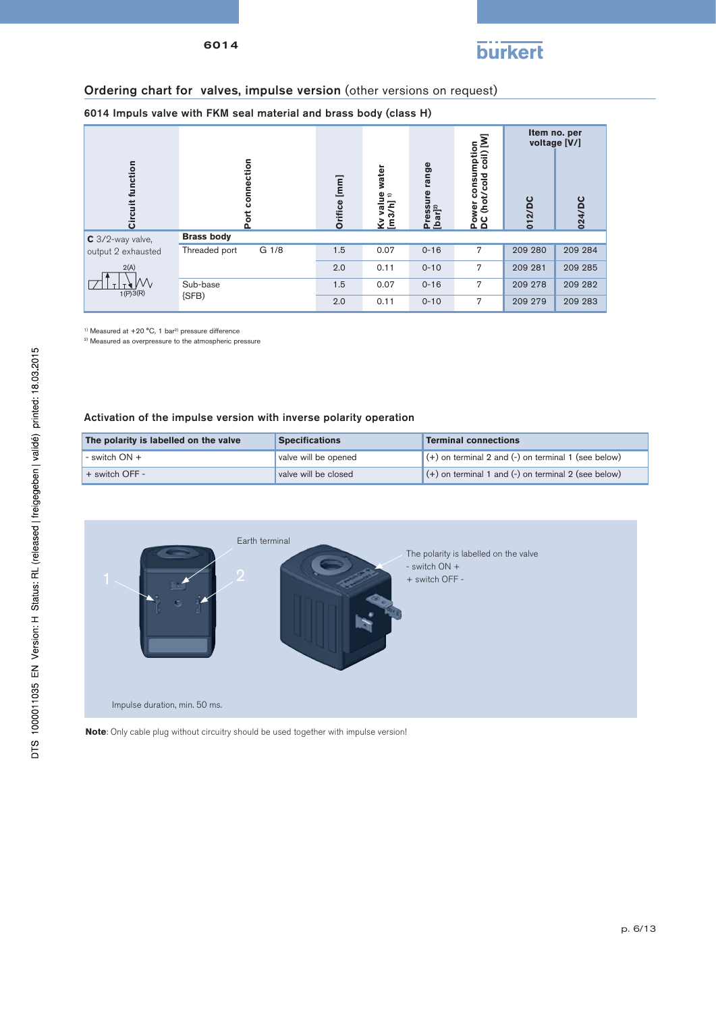

#### Ordering chart for valves, impulse version (other versions on request)

6014 Impuls valve with FKM seal material and brass body (class H)

| function<br>Circuit | ction<br>conn<br><b>Port</b> | [mm]<br>Orifice | water<br>value<br>a/h] <sup>1)</sup><br>Kv valu<br>[m3/h] | range<br>ω<br>$[bar]^{2}$<br>res<br>Δ. | Σ<br>등<br>Ĕ<br>$\widehat{\mathsf{I}}$<br>Ē<br>Ō<br>ᅙ<br>cons<br>ខូ<br>۰<br>ower<br>Š<br>ပ<br>ΔĂ | Item no. per<br>voltage [V/]<br>012/DC | 024/DC  |
|---------------------|------------------------------|-----------------|-----------------------------------------------------------|----------------------------------------|-------------------------------------------------------------------------------------------------|----------------------------------------|---------|
| $C$ 3/2-way valve,  | <b>Brass body</b>            |                 |                                                           |                                        |                                                                                                 |                                        |         |
| output 2 exhausted  | G 1/8<br>Threaded port       | 1.5             | 0.07                                                      | $0 - 16$                               | $\overline{7}$                                                                                  | 209 280                                | 209 284 |
| 2(A)                |                              | 2.0             | 0.11                                                      | $0 - 10$                               | 7                                                                                               | 209 281                                | 209 285 |
| VV<br>1(P)3(R)      | Sub-base                     | 1.5             | 0.07                                                      | $0 - 16$                               | 7                                                                                               | 209 278                                | 209 282 |
|                     | {SFB)                        | 2.0             | 0.11                                                      | $0 - 10$                               | 7                                                                                               | 209 279                                | 209 283 |

<sup>1)</sup> Measured at  $+20$  °C, 1 bar<sup>2)</sup> pressure difference

<sup>2)</sup> Measured as overpressure to the atmospheric pressure

#### Activation of the impulse version with inverse polarity operation

| The polarity is labelled on the valve | <b>Specifications</b> | <b>Terminal connections</b>                             |  |
|---------------------------------------|-----------------------|---------------------------------------------------------|--|
| - switch $ON +$                       | valve will be opened  | $(+)$ on terminal 2 and $(-)$ on terminal 1 (see below) |  |
| + switch OFF -                        | valve will be closed  | $(+)$ on terminal 1 and $(-)$ on terminal 2 (see below) |  |



**Note**: Only cable plug without circuitry should be used together with impulse version!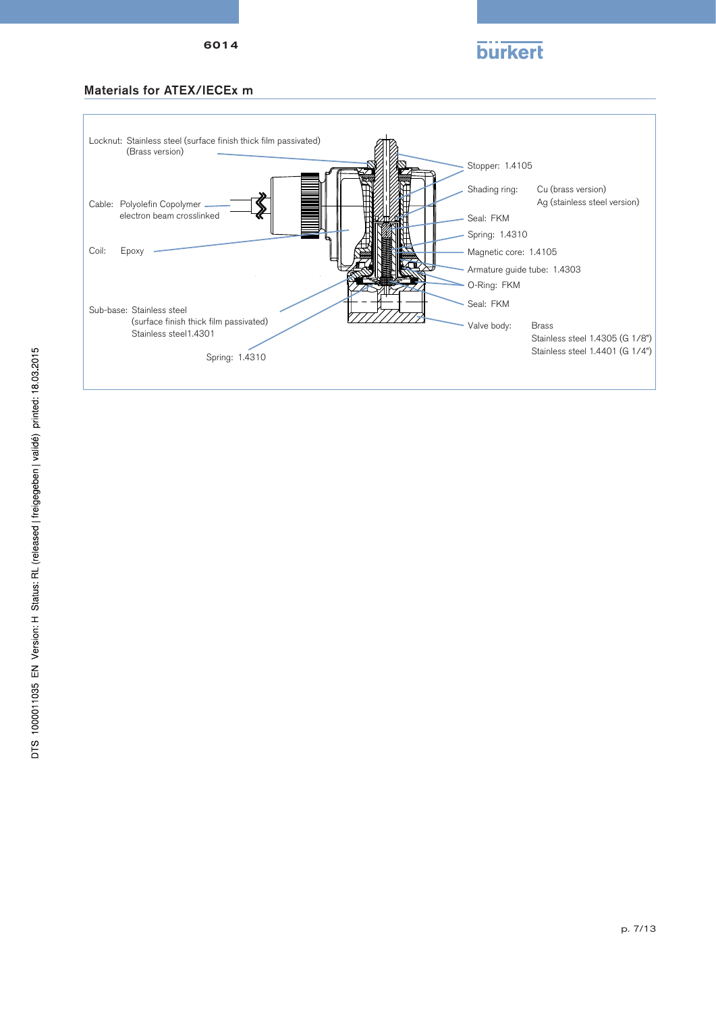

#### Materials for ATEX/IECEx m

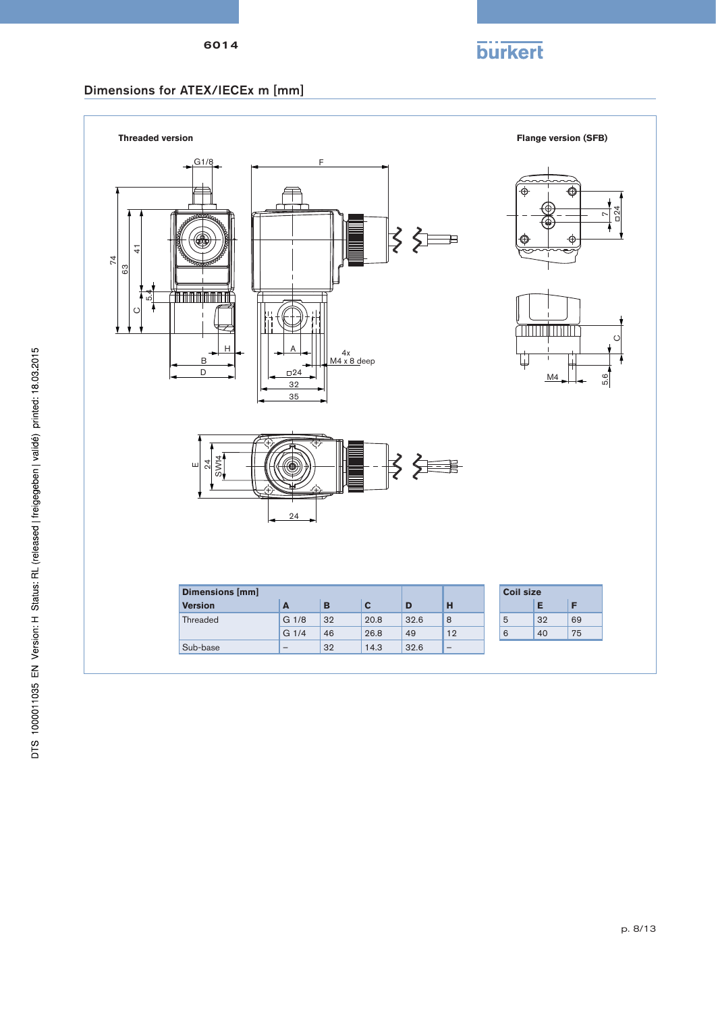

# Dimensions for ATEX/IECEx m [mm]

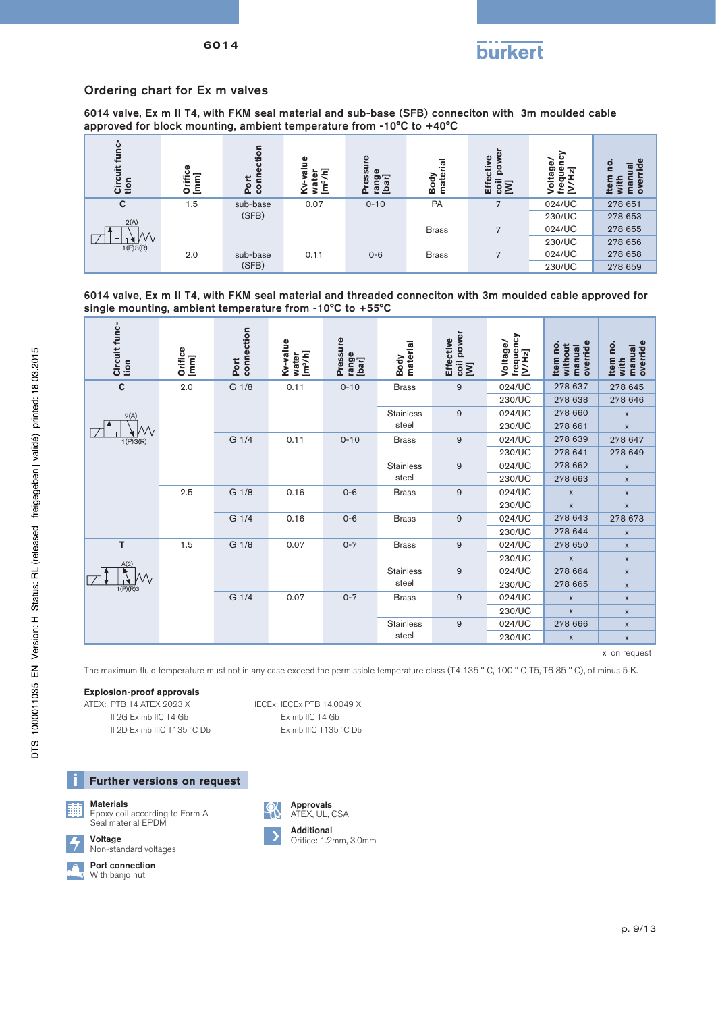

#### Ordering chart for Ex m valves

6014 valve, Ex m II T4, with FKM seal material and sub-base (SFB) conneciton with 3m moulded cable approved for block mounting, ambient temperature from -10°C to +40°C



6014 valve, Ex m II T4, with FKM seal material and threaded conneciton with 3m moulded cable approved for single mounting, ambient temperature from -10°C to +55°C

| Circuit func-<br>tion | Orifice<br>[mm] | connection<br>Port | Kv-value<br>[m <sup>3</sup> /h]<br>water | Pressure<br>range<br>[bar] | material<br>Body | coil power<br>[W]<br>Effective | frequency<br>Voltage/<br>[V/Hz] | override<br>Item no.<br>without<br>manual | override<br>no.<br>manual<br>Item<br>with |
|-----------------------|-----------------|--------------------|------------------------------------------|----------------------------|------------------|--------------------------------|---------------------------------|-------------------------------------------|-------------------------------------------|
| C                     | 2.0             | G 1/8              | 0.11                                     | $0 - 10$                   | <b>Brass</b>     | 9                              | 024/UC                          | 278 637                                   | 278 645                                   |
|                       |                 |                    |                                          |                            |                  |                                | 230/UC                          | 278 638                                   | 278 646                                   |
| 2(A)                  |                 |                    |                                          |                            | <b>Stainless</b> | 9                              | 024/UC                          | 278 660                                   | $\pmb{\mathsf{x}}$                        |
|                       |                 |                    |                                          |                            | steel            |                                | 230/UC                          | 278 661                                   | $\mathsf{x}$                              |
| 1(P)3(R)              |                 | G 1/4              | 0.11                                     | $0 - 10$                   | <b>Brass</b>     | 9                              | 024/UC                          | 278 639                                   | 278 647                                   |
|                       |                 |                    |                                          |                            |                  |                                | 230/UC                          | 278 641                                   | 278 649                                   |
|                       |                 |                    |                                          |                            | <b>Stainless</b> | 9                              | 024/UC                          | 278 662                                   | $\pmb{\mathsf{X}}$                        |
|                       |                 |                    |                                          |                            | steel            |                                | 230/UC                          | 278 663                                   | X                                         |
|                       | 2.5             | G <sub>1/8</sub>   | 0.16                                     | $0 - 6$                    | <b>Brass</b>     | 9                              | 024/UC                          | $\mathsf{x}$                              | X                                         |
|                       |                 |                    |                                          |                            |                  |                                | 230/UC                          | $\mathsf{x}$                              | X                                         |
|                       |                 | G <sub>1/4</sub>   | 0.16                                     | $0 - 6$                    | <b>Brass</b>     | 9                              | 024/UC                          | 278 643                                   | 278 673                                   |
|                       |                 |                    |                                          |                            |                  |                                | 230/UC                          | 278 644                                   | $\pmb{\mathsf{x}}$                        |
| T                     | 1.5             | G 1/8              | 0.07                                     | $0 - 7$                    | <b>Brass</b>     | 9                              | 024/UC                          | 278 650                                   | X                                         |
| A(2)                  |                 |                    |                                          |                            |                  |                                | 230/UC                          | $\pmb{\chi}$                              | X                                         |
|                       |                 |                    |                                          |                            | <b>Stainless</b> | 9                              | 024/UC                          | 278 664                                   | X                                         |
| 1(P)(R)3              |                 |                    |                                          |                            | steel            |                                | 230/UC                          | 278 665                                   | X                                         |
|                       |                 | G 1/4              | 0.07                                     | $0 - 7$                    | <b>Brass</b>     | 9                              | 024/UC                          | X                                         | X                                         |
|                       |                 |                    |                                          |                            |                  |                                | 230/UC                          | $\pmb{\mathsf{X}}$                        | X                                         |
|                       |                 |                    |                                          |                            | <b>Stainless</b> | 9                              | 024/UC                          | 278 666                                   | X                                         |
|                       |                 |                    |                                          |                            | steel            |                                | 230/UC                          | $\pmb{\chi}$                              | X                                         |

x on request

The maximum fluid temperature must not in any case exceed the permissible temperature class (T4 135 °C, 100 °C T5, T6 85 °C), of minus 5 K.

#### **Explosion-proof approvals**

ATEX: PTB 14 ATEX 2023 X II 2G Ex mb IIC T4 Gb II 2D Ex mb IIIC T135 ºC Db IECEx: IECEx PTB 14.0049 X Ex mb IIC T4 Gb Ex mb IIIC T135 ºC Db



Materials Epoxy coil according to Form A Seal material EPDM



Port connection With banjo nut



Additional Orifice: 1.2mm, 3.0mm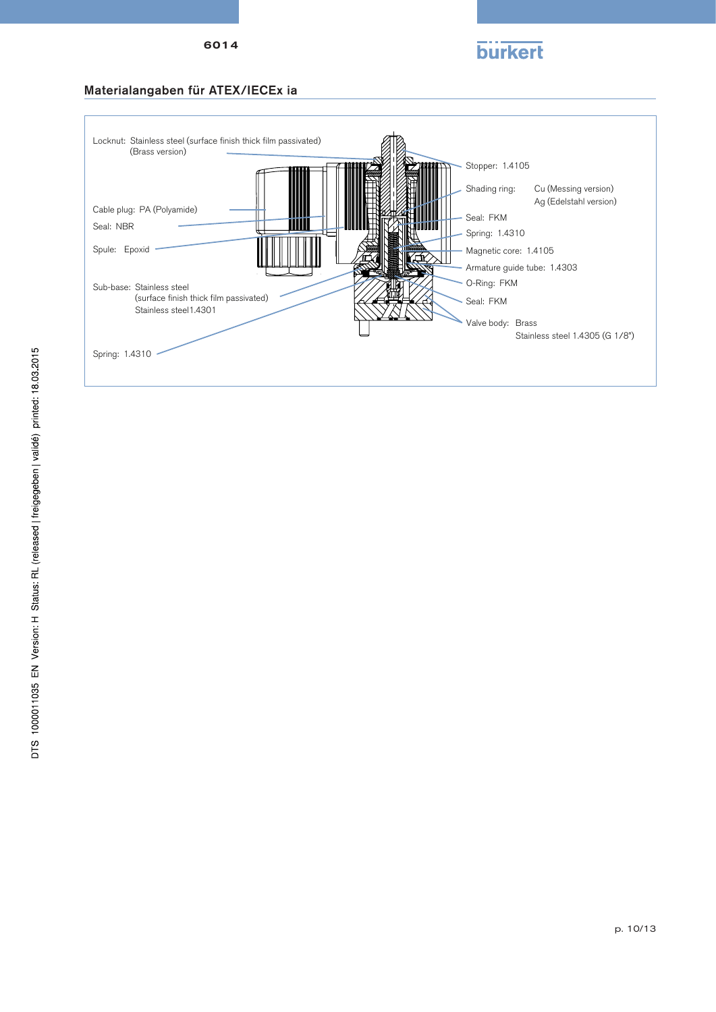# **burkert**

#### Materialangaben für ATEX/IECEx ia

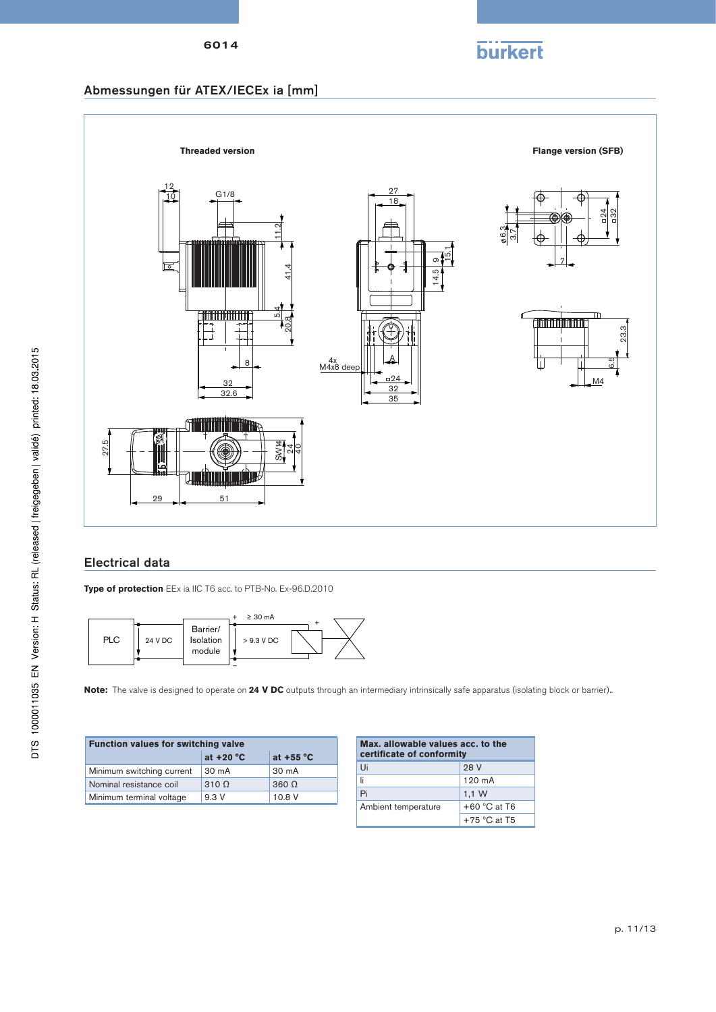

# Abmessungen für ATEX/IECEx ia [mm]



#### Electrical data

**Type of protection** EEx ia IIC T6 acc. to PTB-No. Ex-96.D.2010



**Note:** The valve is designed to operate on **24 V DC** outputs through an intermediary intrinsically safe apparatus (isolating block or barrier)..

| Function values for switching valve |              |              |  |  |  |  |
|-------------------------------------|--------------|--------------|--|--|--|--|
| at $+55$ °C<br>at $+20 °C$          |              |              |  |  |  |  |
| Minimum switching current           | 30 mA        | 30 mA        |  |  |  |  |
| Nominal resistance coil             | $310 \Omega$ | $360 \Omega$ |  |  |  |  |
| Minimum terminal voltage            | 9.3V         | 10.8 V       |  |  |  |  |

| Max, allowable values acc, to the<br>certificate of conformity |                  |  |  |  |  |
|----------------------------------------------------------------|------------------|--|--|--|--|
| Ui                                                             | 28 V             |  |  |  |  |
| li                                                             | $120 \text{ mA}$ |  |  |  |  |
| Pi                                                             | 1.1 W            |  |  |  |  |
| Ambient temperature                                            | $+60 °C$ at T6   |  |  |  |  |
|                                                                | $+75$ °C at T5   |  |  |  |  |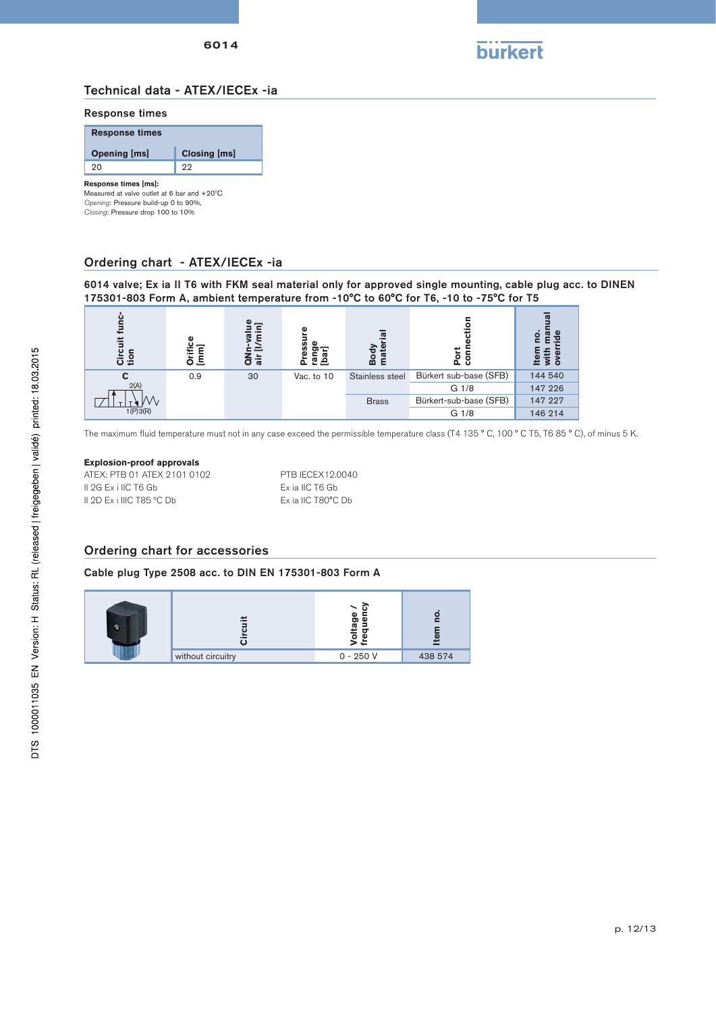

#### Technical data - ATEX/IECEx -ia

#### Response times

| <b>Response times</b> |              |  |  |  |
|-----------------------|--------------|--|--|--|
| <b>Opening [ms]</b>   | Closing [ms] |  |  |  |
| 20                    | クク           |  |  |  |
| _                     |              |  |  |  |

**Response times [ms]:**  Measured at valve outlet at 6 bar and +20ºC Opening: Pressure build-up 0 to 90%, Closing: Pressure drop 100 to 10%

#### Ordering chart - ATEX/IECEx -ia

6014 valve; Ex ia II T6 with FKM seal material only for approved single mounting, cable plug acc. to DINEN 175301-803 Form A, ambient temperature from -10°C to 60°C for T6, -10 to -75°C for T5



The maximum fluid temperature must not in any case exceed the permissible temperature class (T4 135 ° C, 100 ° C T5, T6 85 ° C), of minus 5 K.

#### **Explosion-proof approvals**

ATEX: PTB 01 ATEX 2101 0102 II 2G Ex i IIC T6 Gb II 2D Ex i IIIC T85 ºC Db

PTB IECEX12.0040 Ex ia IIC T6 Gb Ex ia IIC T80°C Db

#### Ordering chart for accessories

#### Cable plug Type 2508 acc. to DIN EN 175301-803 Form A